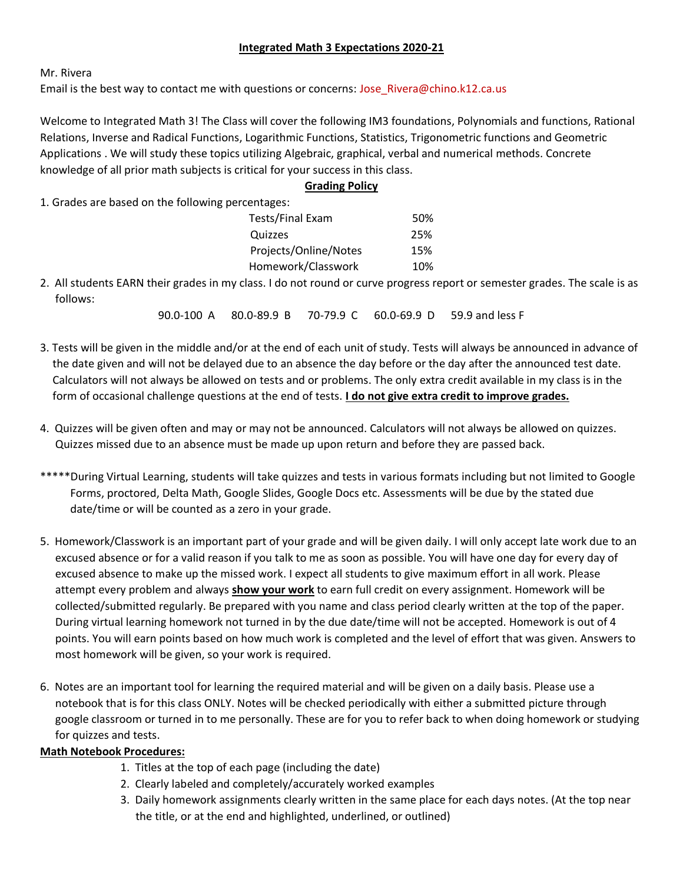#### **Integrated Math 3 Expectations 2020-21**

Mr. Rivera

Email is the best way to contact me with questions or concerns: Jose\_Rivera@chino.k12.ca.us

Welcome to Integrated Math 3! The Class will cover the following IM3 foundations, Polynomials and functions, Rational Relations, Inverse and Radical Functions, Logarithmic Functions, Statistics, Trigonometric functions and Geometric Applications . We will study these topics utilizing Algebraic, graphical, verbal and numerical methods. Concrete knowledge of all prior math subjects is critical for your success in this class.

#### **Grading Policy**

1. Grades are based on the following percentages:

| Tests/Final Exam      | 50% |
|-----------------------|-----|
| Quizzes               | 25% |
| Projects/Online/Notes | 15% |
| Homework/Classwork    | 10% |
|                       |     |

2. All students EARN their grades in my class. I do not round or curve progress report or semester grades. The scale is as follows:

90.0-100 A 80.0-89.9 B 70-79.9 C 60.0-69.9 D 59.9 and less F

- 3. Tests will be given in the middle and/or at the end of each unit of study. Tests will always be announced in advance of the date given and will not be delayed due to an absence the day before or the day after the announced test date. Calculators will not always be allowed on tests and or problems. The only extra credit available in my class is in the form of occasional challenge questions at the end of tests. **I do not give extra credit to improve grades.**
- 4. Quizzes will be given often and may or may not be announced. Calculators will not always be allowed on quizzes. Quizzes missed due to an absence must be made up upon return and before they are passed back.
- \*\*\*\*During Virtual Learning, students will take quizzes and tests in various formats including but not limited to Google Forms, proctored, Delta Math, Google Slides, Google Docs etc. Assessments will be due by the stated due date/time or will be counted as a zero in your grade.
- 5. Homework/Classwork is an important part of your grade and will be given daily. I will only accept late work due to an excused absence or for a valid reason if you talk to me as soon as possible. You will have one day for every day of excused absence to make up the missed work. I expect all students to give maximum effort in all work. Please attempt every problem and always **show your work** to earn full credit on every assignment. Homework will be collected/submitted regularly. Be prepared with you name and class period clearly written at the top of the paper. During virtual learning homework not turned in by the due date/time will not be accepted. Homework is out of 4 points. You will earn points based on how much work is completed and the level of effort that was given. Answers to most homework will be given, so your work is required.
- 6. Notes are an important tool for learning the required material and will be given on a daily basis. Please use a notebook that is for this class ONLY. Notes will be checked periodically with either a submitted picture through google classroom or turned in to me personally. These are for you to refer back to when doing homework or studying for quizzes and tests.

#### **Math Notebook Procedures:**

- 1. Titles at the top of each page (including the date)
- 2. Clearly labeled and completely/accurately worked examples
- 3. Daily homework assignments clearly written in the same place for each days notes. (At the top near the title, or at the end and highlighted, underlined, or outlined)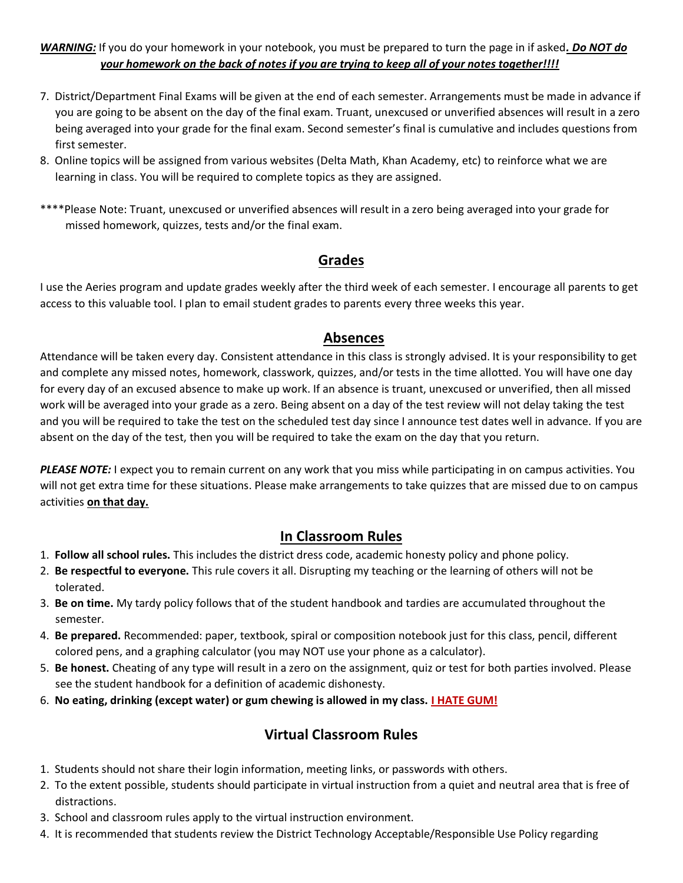#### *WARNING:* If you do your homework in your notebook, you must be prepared to turn the page in if asked*. Do NOT do your homework on the back of notes if you are trying to keep all of your notes together!!!!*

- 7. District/Department Final Exams will be given at the end of each semester. Arrangements must be made in advance if you are going to be absent on the day of the final exam. Truant, unexcused or unverified absences will result in a zero being averaged into your grade for the final exam. Second semester's final is cumulative and includes questions from first semester.
- 8. Online topics will be assigned from various websites (Delta Math, Khan Academy, etc) to reinforce what we are learning in class. You will be required to complete topics as they are assigned.
- \*\*\*\*Please Note: Truant, unexcused or unverified absences will result in a zero being averaged into your grade for missed homework, quizzes, tests and/or the final exam.

## **Grades**

I use the Aeries program and update grades weekly after the third week of each semester. I encourage all parents to get access to this valuable tool. I plan to email student grades to parents every three weeks this year.

### **Absences**

Attendance will be taken every day. Consistent attendance in this class is strongly advised. It is your responsibility to get and complete any missed notes, homework, classwork, quizzes, and/or tests in the time allotted. You will have one day for every day of an excused absence to make up work. If an absence is truant, unexcused or unverified, then all missed work will be averaged into your grade as a zero. Being absent on a day of the test review will not delay taking the test and you will be required to take the test on the scheduled test day since I announce test dates well in advance. If you are absent on the day of the test, then you will be required to take the exam on the day that you return.

*PLEASE NOTE:* I expect you to remain current on any work that you miss while participating in on campus activities. You will not get extra time for these situations. Please make arrangements to take quizzes that are missed due to on campus activities **on that day.**

## **In Classroom Rules**

- 1. **Follow all school rules.** This includes the district dress code, academic honesty policy and phone policy.
- 2. **Be respectful to everyone.** This rule covers it all. Disrupting my teaching or the learning of others will not be tolerated.
- 3. **Be on time.** My tardy policy follows that of the student handbook and tardies are accumulated throughout the semester.
- 4. **Be prepared.** Recommended: paper, textbook, spiral or composition notebook just for this class, pencil, different colored pens, and a graphing calculator (you may NOT use your phone as a calculator).
- 5. **Be honest.** Cheating of any type will result in a zero on the assignment, quiz or test for both parties involved. Please see the student handbook for a definition of academic dishonesty.
- 6. **No eating, drinking (except water) or gum chewing is allowed in my class. I HATE GUM!**

# **Virtual Classroom Rules**

- 1. Students should not share their login information, meeting links, or passwords with others.
- 2. To the extent possible, students should participate in virtual instruction from a quiet and neutral area that is free of distractions.
- 3. School and classroom rules apply to the virtual instruction environment.
- 4. It is recommended that students review the District Technology Acceptable/Responsible Use Policy regarding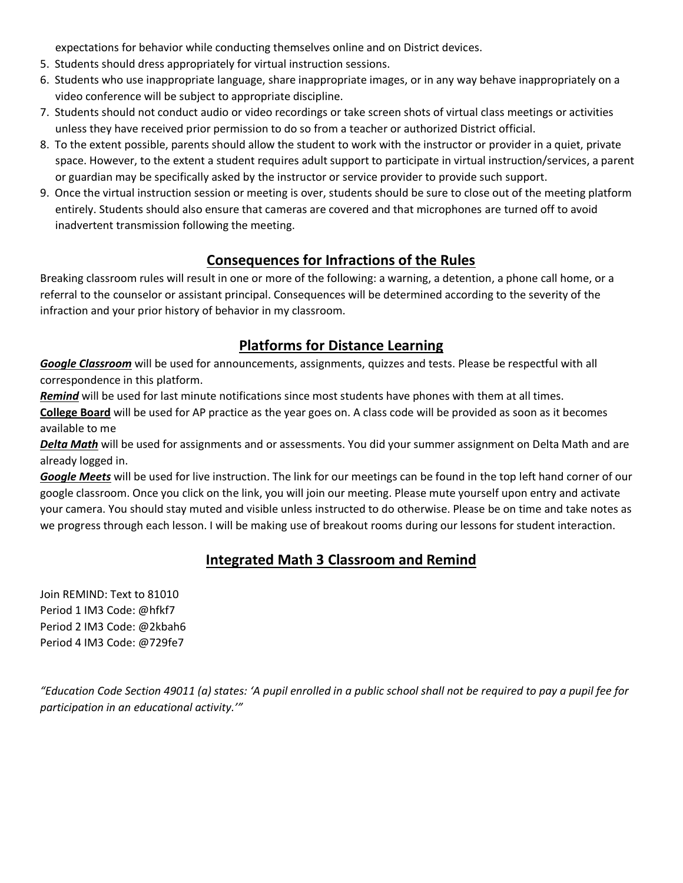expectations for behavior while conducting themselves online and on District devices.

- 5. Students should dress appropriately for virtual instruction sessions.
- 6. Students who use inappropriate language, share inappropriate images, or in any way behave inappropriately on a video conference will be subject to appropriate discipline.
- 7. Students should not conduct audio or video recordings or take screen shots of virtual class meetings or activities unless they have received prior permission to do so from a teacher or authorized District official.
- 8. To the extent possible, parents should allow the student to work with the instructor or provider in a quiet, private space. However, to the extent a student requires adult support to participate in virtual instruction/services, a parent or guardian may be specifically asked by the instructor or service provider to provide such support.
- 9. Once the virtual instruction session or meeting is over, students should be sure to close out of the meeting platform entirely. Students should also ensure that cameras are covered and that microphones are turned off to avoid inadvertent transmission following the meeting.

# **Consequences for Infractions of the Rules**

Breaking classroom rules will result in one or more of the following: a warning, a detention, a phone call home, or a referral to the counselor or assistant principal. Consequences will be determined according to the severity of the infraction and your prior history of behavior in my classroom.

## **Platforms for Distance Learning**

*Google Classroom* will be used for announcements, assignments, quizzes and tests. Please be respectful with all correspondence in this platform.

*Remind* will be used for last minute notifications since most students have phones with them at all times.

**College Board** will be used for AP practice as the year goes on. A class code will be provided as soon as it becomes available to me

*Delta Math* will be used for assignments and or assessments. You did your summer assignment on Delta Math and are already logged in.

*Google Meets* will be used for live instruction. The link for our meetings can be found in the top left hand corner of our google classroom. Once you click on the link, you will join our meeting. Please mute yourself upon entry and activate your camera. You should stay muted and visible unless instructed to do otherwise. Please be on time and take notes as we progress through each lesson. I will be making use of breakout rooms during our lessons for student interaction.

# **Integrated Math 3 Classroom and Remind**

Join REMIND: Text to 81010 Period 1 IM3 Code: @hfkf7 Period 2 IM3 Code: @2kbah6 Period 4 IM3 Code: @729fe7

*"Education Code Section 49011 (a) states: 'A pupil enrolled in a public school shall not be required to pay a pupil fee for participation in an educational activity.'"*